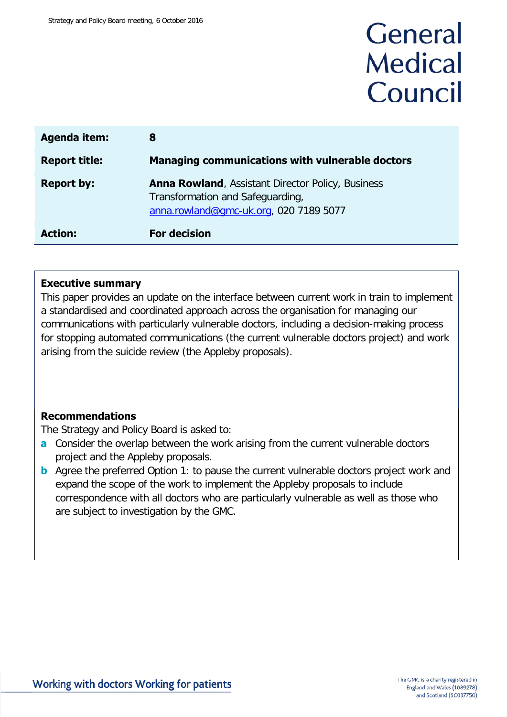# General **Medical** Council

| <b>Agenda item:</b>  | 8                                                                                                                                      |
|----------------------|----------------------------------------------------------------------------------------------------------------------------------------|
| <b>Report title:</b> | <b>Managing communications with vulnerable doctors</b>                                                                                 |
| <b>Report by:</b>    | <b>Anna Rowland, Assistant Director Policy, Business</b><br>Transformation and Safeguarding,<br>anna.rowland@qmc-uk.org, 020 7189 5077 |
| <b>Action:</b>       | <b>For decision</b>                                                                                                                    |

### **Executive summary**

This paper provides an update on the interface between current work in train to implement a standardised and coordinated approach across the organisation for managing our communications with particularly vulnerable doctors, including a decision-making process for stopping automated communications (the current vulnerable doctors project) and work arising from the suicide review (the Appleby proposals).

### **Recommendations**

The Strategy and Policy Board is asked to:

- **a** Consider the overlap between the work arising from the current vulnerable doctors project and the Appleby proposals.
- **b** Agree the preferred Option 1: to pause the current vulnerable doctors project work and expand the scope of the work to implement the Appleby proposals to include correspondence with all doctors who are particularly vulnerable as well as those who are subject to investigation by the GMC.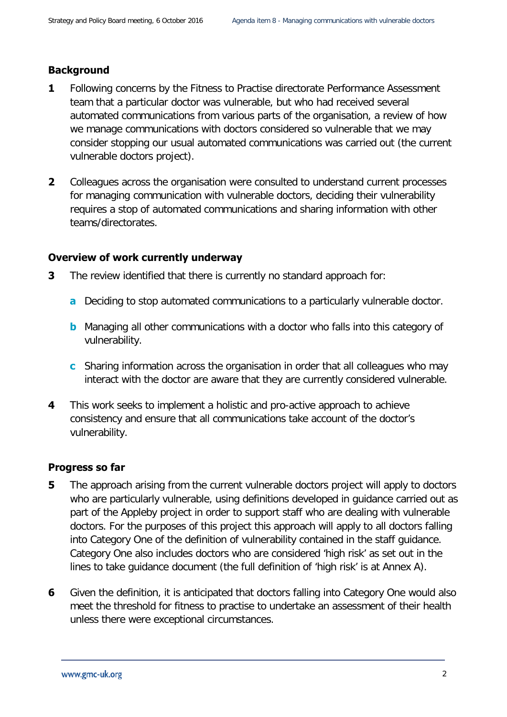### **Background**

- **1** Following concerns by the Fitness to Practise directorate Performance Assessment team that a particular doctor was vulnerable, but who had received several automated communications from various parts of the organisation, a review of how we manage communications with doctors considered so vulnerable that we may consider stopping our usual automated communications was carried out (the current vulnerable doctors project).
- **2** Colleagues across the organisation were consulted to understand current processes for managing communication with vulnerable doctors, deciding their vulnerability requires a stop of automated communications and sharing information with other teams/directorates.

### **Overview of work currently underway**

- **3** The review identified that there is currently no standard approach for:
	- **a** Deciding to stop automated communications to a particularly vulnerable doctor.
	- **b** Managing all other communications with a doctor who falls into this category of vulnerability.
	- **c** Sharing information across the organisation in order that all colleagues who may interact with the doctor are aware that they are currently considered vulnerable.
- **4** This work seeks to implement a holistic and pro-active approach to achieve consistency and ensure that all communications take account of the doctor's vulnerability.

### **Progress so far**

- **5** The approach arising from the current vulnerable doctors project will apply to doctors who are particularly vulnerable, using definitions developed in guidance carried out as part of the Appleby project in order to support staff who are dealing with vulnerable doctors. For the purposes of this project this approach will apply to all doctors falling into Category One of the definition of vulnerability contained in the staff guidance. Category One also includes doctors who are considered 'high risk' as set out in the lines to take guidance document (the full definition of 'high risk' is at Annex A).
- **6** Given the definition, it is anticipated that doctors falling into Category One would also meet the threshold for fitness to practise to undertake an assessment of their health unless there were exceptional circumstances.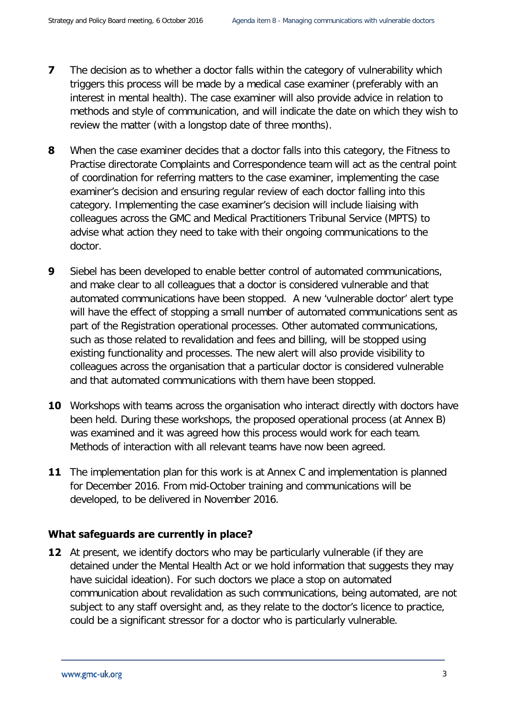- **7** The decision as to whether a doctor falls within the category of vulnerability which triggers this process will be made by a medical case examiner (preferably with an interest in mental health). The case examiner will also provide advice in relation to methods and style of communication, and will indicate the date on which they wish to review the matter (with a longstop date of three months).
- **8** When the case examiner decides that a doctor falls into this category, the Fitness to Practise directorate Complaints and Correspondence team will act as the central point of coordination for referring matters to the case examiner, implementing the case examiner's decision and ensuring regular review of each doctor falling into this category. Implementing the case examiner's decision will include liaising with colleagues across the GMC and Medical Practitioners Tribunal Service (MPTS) to advise what action they need to take with their ongoing communications to the doctor.
- **9** Siebel has been developed to enable better control of automated communications, and make clear to all colleagues that a doctor is considered vulnerable and that automated communications have been stopped. A new 'vulnerable doctor' alert type will have the effect of stopping a small number of automated communications sent as part of the Registration operational processes. Other automated communications, such as those related to revalidation and fees and billing, will be stopped using existing functionality and processes. The new alert will also provide visibility to colleagues across the organisation that a particular doctor is considered vulnerable and that automated communications with them have been stopped.
- **10** Workshops with teams across the organisation who interact directly with doctors have been held. During these workshops, the proposed operational process (at Annex B) was examined and it was agreed how this process would work for each team. Methods of interaction with all relevant teams have now been agreed.
- **11** The implementation plan for this work is at Annex C and implementation is planned for December 2016. From mid-October training and communications will be developed, to be delivered in November 2016.

### **What safeguards are currently in place?**

**12** At present, we identify doctors who may be particularly vulnerable (if they are detained under the Mental Health Act or we hold information that suggests they may have suicidal ideation). For such doctors we place a stop on automated communication about revalidation as such communications, being automated, are not subject to any staff oversight and, as they relate to the doctor's licence to practice, could be a significant stressor for a doctor who is particularly vulnerable.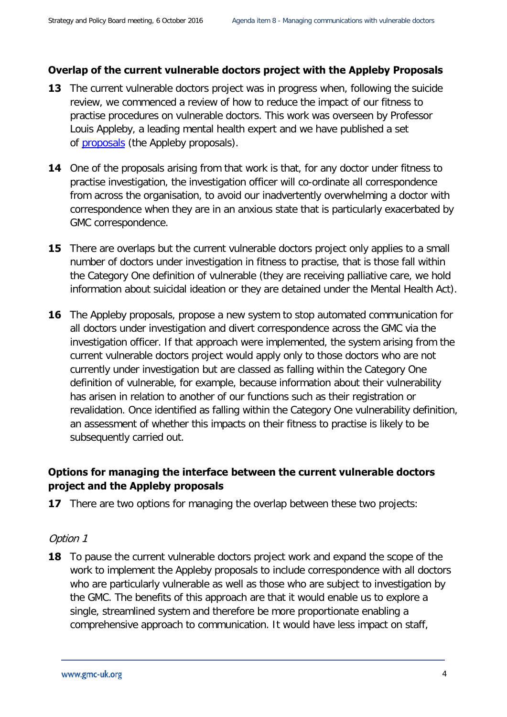### **Overlap of the current vulnerable doctors project with the Appleby Proposals**

- **13** The current vulnerable doctors project was in progress when, following the suicide review, we commenced a review of how to reduce the impact of our fitness to practise procedures on vulnerable doctors. This work was overseen by Professor Louis Appleby, a leading mental health expert and we have published a set of [proposals](http://www.gmc-uk.org/Proposals_to_reduce_the_impact_of_our_ftp_processes___key_aims_and_proposals.pdf_67173449.pdf) (the Appleby proposals).
- **14** One of the proposals arising from that work is that, for any doctor under fitness to practise investigation, the investigation officer will co-ordinate all correspondence from across the organisation, to avoid our inadvertently overwhelming a doctor with correspondence when they are in an anxious state that is particularly exacerbated by GMC correspondence.
- **15** There are overlaps but the current vulnerable doctors project only applies to a small number of doctors under investigation in fitness to practise, that is those fall within the Category One definition of vulnerable (they are receiving palliative care, we hold information about suicidal ideation or they are detained under the Mental Health Act).
- **16** The Appleby proposals, propose a new system to stop automated communication for all doctors under investigation and divert correspondence across the GMC via the investigation officer. If that approach were implemented, the system arising from the current vulnerable doctors project would apply only to those doctors who are not currently under investigation but are classed as falling within the Category One definition of vulnerable, for example, because information about their vulnerability has arisen in relation to another of our functions such as their registration or revalidation. Once identified as falling within the Category One vulnerability definition, an assessment of whether this impacts on their fitness to practise is likely to be subsequently carried out.

### **Options for managing the interface between the current vulnerable doctors project and the Appleby proposals**

**17** There are two options for managing the overlap between these two projects:

### Option 1

**18** To pause the current vulnerable doctors project work and expand the scope of the work to implement the Appleby proposals to include correspondence with all doctors who are particularly vulnerable as well as those who are subject to investigation by the GMC. The benefits of this approach are that it would enable us to explore a single, streamlined system and therefore be more proportionate enabling a comprehensive approach to communication. It would have less impact on staff,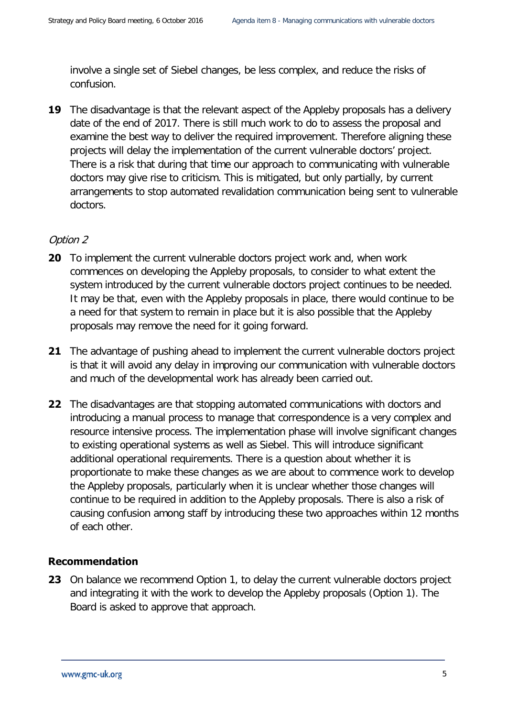involve a single set of Siebel changes, be less complex, and reduce the risks of confusion.

**19** The disadvantage is that the relevant aspect of the Appleby proposals has a delivery date of the end of 2017. There is still much work to do to assess the proposal and examine the best way to deliver the required improvement. Therefore aligning these projects will delay the implementation of the current vulnerable doctors' project. There is a risk that during that time our approach to communicating with vulnerable doctors may give rise to criticism. This is mitigated, but only partially, by current arrangements to stop automated revalidation communication being sent to vulnerable doctors.

### Option 2

- **20** To implement the current vulnerable doctors project work and, when work commences on developing the Appleby proposals, to consider to what extent the system introduced by the current vulnerable doctors project continues to be needed. It may be that, even with the Appleby proposals in place, there would continue to be a need for that system to remain in place but it is also possible that the Appleby proposals may remove the need for it going forward.
- **21** The advantage of pushing ahead to implement the current vulnerable doctors project is that it will avoid any delay in improving our communication with vulnerable doctors and much of the developmental work has already been carried out.
- **22** The disadvantages are that stopping automated communications with doctors and introducing a manual process to manage that correspondence is a very complex and resource intensive process. The implementation phase will involve significant changes to existing operational systems as well as Siebel. This will introduce significant additional operational requirements. There is a question about whether it is proportionate to make these changes as we are about to commence work to develop the Appleby proposals, particularly when it is unclear whether those changes will continue to be required in addition to the Appleby proposals. There is also a risk of causing confusion among staff by introducing these two approaches within 12 months of each other.

### **Recommendation**

**23** On balance we recommend Option 1, to delay the current vulnerable doctors project and integrating it with the work to develop the Appleby proposals (Option 1). The Board is asked to approve that approach.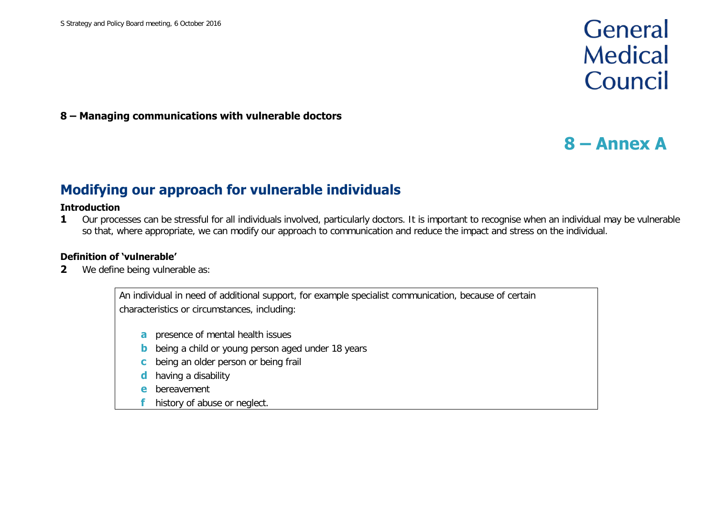# General **Medical** Council

### **8 – Managing communications with vulnerable doctors**

# **8 – Annex A**

## **Modifying our approach for vulnerable individuals**

#### **Introduction**

**1** Our processes can be stressful for all individuals involved, particularly doctors. It is important to recognise when an individual may be vulnerable so that, where appropriate, we can modify our approach to communication and reduce the impact and stress on the individual.

### **Definition of 'vulnerable'**

**2** We define being vulnerable as:

An individual in need of additional support, for example specialist communication, because of certain characteristics or circumstances, including:

- **a** presence of mental health issues
- **b** being a child or young person aged under 18 years
- **c** being an older person or being frail
- having a disability
- **e** bereavement
- history of abuse or neglect.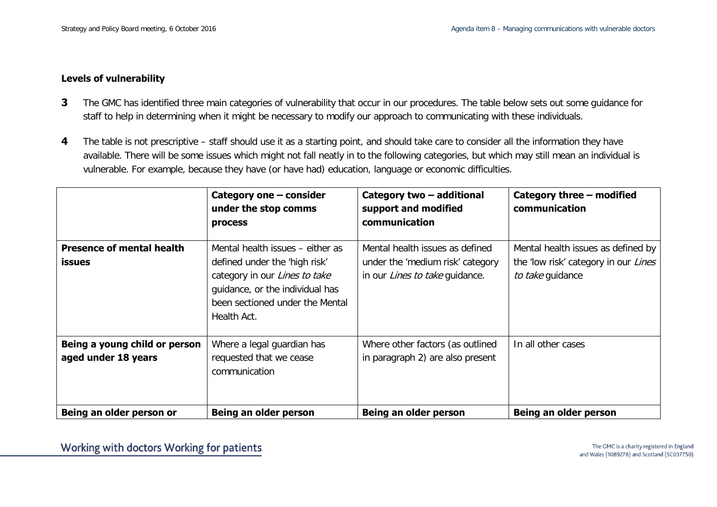#### **Levels of vulnerability**

- **3** The GMC has identified three main categories of vulnerability that occur in our procedures. The table below sets out some guidance for staff to help in determining when it might be necessary to modify our approach to communicating with these individuals.
- **4** The table is not prescriptive staff should use it as a starting point, and should take care to consider all the information they have available. There will be some issues which might not fall neatly in to the following categories, but which may still mean an individual is vulnerable. For example, because they have (or have had) education, language or economic difficulties.

|                                                      | Category one - consider<br>under the stop comms<br>process                                                                                                                              | Category two - additional<br>support and modified<br>communication                                           | Category three - modified<br>communication                                                     |
|------------------------------------------------------|-----------------------------------------------------------------------------------------------------------------------------------------------------------------------------------------|--------------------------------------------------------------------------------------------------------------|------------------------------------------------------------------------------------------------|
| <b>Presence of mental health</b><br><b>issues</b>    | Mental health issues – either as<br>defined under the 'high risk'<br>category in our Lines to take<br>guidance, or the individual has<br>been sectioned under the Mental<br>Health Act. | Mental health issues as defined<br>under the 'medium risk' category<br>in our <i>Lines to take</i> quidance. | Mental health issues as defined by<br>the 'low risk' category in our Lines<br>to take guidance |
| Being a young child or person<br>aged under 18 years | Where a legal guardian has<br>requested that we cease<br>communication                                                                                                                  | Where other factors (as outlined<br>in paragraph 2) are also present                                         | In all other cases                                                                             |
| Being an older person or                             | Being an older person                                                                                                                                                                   | Being an older person                                                                                        | Being an older person                                                                          |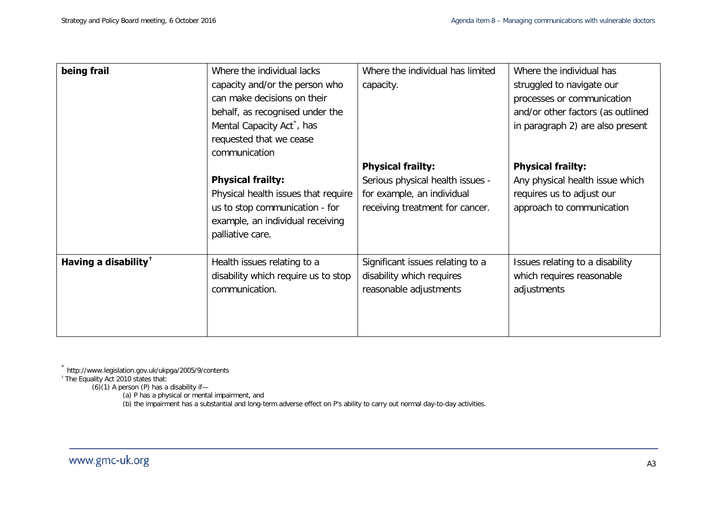<span id="page-7-1"></span><span id="page-7-0"></span>

| being frail                      | Where the individual lacks<br>capacity and/or the person who<br>can make decisions on their<br>behalf, as recognised under the<br>Mental Capacity Act <sup>*</sup> , has                              | Where the individual has limited<br>capacity.                                                                                 | Where the individual has<br>struggled to navigate our<br>processes or communication<br>and/or other factors (as outlined<br>in paragraph 2) are also present |
|----------------------------------|-------------------------------------------------------------------------------------------------------------------------------------------------------------------------------------------------------|-------------------------------------------------------------------------------------------------------------------------------|--------------------------------------------------------------------------------------------------------------------------------------------------------------|
|                                  | requested that we cease<br>communication<br><b>Physical frailty:</b><br>Physical health issues that require<br>us to stop communication - for<br>example, an individual receiving<br>palliative care. | <b>Physical frailty:</b><br>Serious physical health issues -<br>for example, an individual<br>receiving treatment for cancer. | <b>Physical frailty:</b><br>Any physical health issue which<br>requires us to adjust our<br>approach to communication                                        |
| Having a disability <sup>†</sup> | Health issues relating to a<br>disability which require us to stop<br>communication.                                                                                                                  | Significant issues relating to a<br>disability which requires<br>reasonable adjustments                                       | Issues relating to a disability<br>which requires reasonable<br>adjustments                                                                                  |

\* http://www.legislation.gov.uk/ukpga/2005/9/contents

† The Equality Act 2010 states that:

 $(6)(1)$  A person  $(P)$  has a disability if-

(a) P has a physical or mental impairment, and

(b) the impairment has a substantial and long-term adverse effect on P's ability to carry out normal day-to-day activities.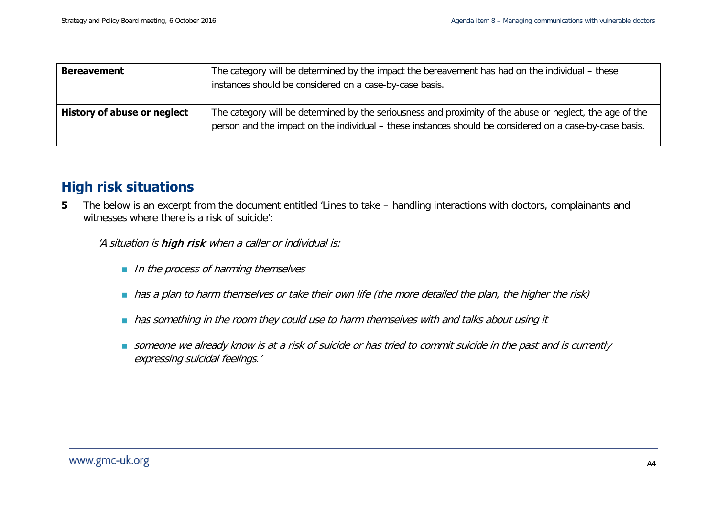| <b>Bereavement</b>          | The category will be determined by the impact the bereavement has had on the individual - these<br>instances should be considered on a case-by-case basis.                                                          |
|-----------------------------|---------------------------------------------------------------------------------------------------------------------------------------------------------------------------------------------------------------------|
| History of abuse or neglect | The category will be determined by the seriousness and proximity of the abuse or neglect, the age of the<br>person and the impact on the individual – these instances should be considered on a case-by-case basis. |

## **High risk situations**

**5** The below is an excerpt from the document entitled 'Lines to take – handling interactions with doctors, complainants and witnesses where there is a risk of suicide':

'A situation is high risk when a caller or individual is:

- In the process of harming themselves
- has a plan to harm themselves or take their own life (the more detailed the plan, the higher the risk)
- has something in the room they could use to harm themselves with and talks about using it
- someone we already know is at a risk of suicide or has tried to commit suicide in the past and is currently expressing suicidal feelings.'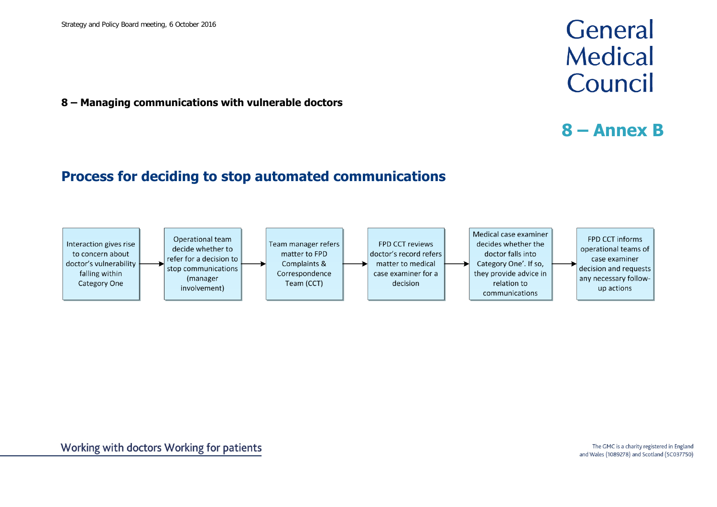**8 – Managing communications with vulnerable doctors**

### **Process for deciding to stop automated communications**



# General **Medical** Council

# **8 – Annex B**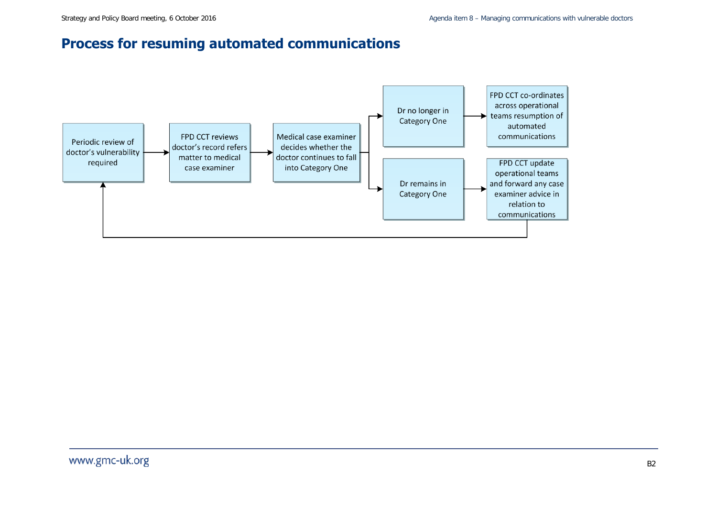## **Process for resuming automated communications**